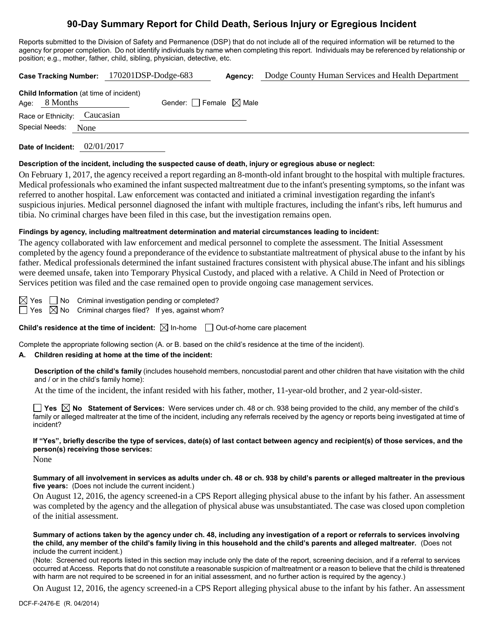# **90-Day Summary Report for Child Death, Serious Injury or Egregious Incident**

Reports submitted to the Division of Safety and Permanence (DSP) that do not include all of the required information will be returned to the agency for proper completion. Do not identify individuals by name when completing this report. Individuals may be referenced by relationship or position; e.g., mother, father, child, sibling, physician, detective, etc.

|                                                                   |  | Case Tracking Number: 170201DSP-Dodge-683 | Agency: | Dodge County Human Services and Health Department |
|-------------------------------------------------------------------|--|-------------------------------------------|---------|---------------------------------------------------|
| <b>Child Information</b> (at time of incident)<br>Age: $8$ Months |  | Gender: Female $\boxtimes$ Male           |         |                                                   |
| Race or Ethnicity: Caucasian                                      |  |                                           |         |                                                   |
| Special Needs: None                                               |  |                                           |         |                                                   |
|                                                                   |  |                                           |         |                                                   |

**Date of Incident:** 02/01/2017

## **Description of the incident, including the suspected cause of death, injury or egregious abuse or neglect:**

On February 1, 2017, the agency received a report regarding an 8-month-old infant brought to the hospital with multiple fractures. Medical professionals who examined the infant suspected maltreatment due to the infant's presenting symptoms, so the infant was referred to another hospital. Law enforcement was contacted and initiated a criminal investigation regarding the infant's suspicious injuries. Medical personnel diagnosed the infant with multiple fractures, including the infant's ribs, left humurus and tibia. No criminal charges have been filed in this case, but the investigation remains open.

## **Findings by agency, including maltreatment determination and material circumstances leading to incident:**

The agency collaborated with law enforcement and medical personnel to complete the assessment. The Initial Assessment completed by the agency found a preponderance of the evidence to substantiate maltreatment of physical abuse to the infant by his father. Medical professionals determined the infant sustained fractures consistent with physical abuse.The infant and his siblings were deemed unsafe, taken into Temporary Physical Custody, and placed with a relative. A Child in Need of Protection or Services petition was filed and the case remained open to provide ongoing case management services.

 $\boxtimes$  Yes  $\Box$  No Criminal investigation pending or completed?

 $\Box$  Yes  $\boxtimes$  No Criminal charges filed? If yes, against whom?

**Child's residence at the time of incident:**  $\boxtimes$  In-home  $\Box$  Out-of-home care placement

Complete the appropriate following section (A. or B. based on the child's residence at the time of the incident).

## **A. Children residing at home at the time of the incident:**

**Description of the child's family** (includes household members, noncustodial parent and other children that have visitation with the child and / or in the child's family home):

At the time of the incident, the infant resided with his father, mother, 11-year-old brother, and 2 year-old-sister.

**Yes No Statement of Services:** Were services under ch. 48 or ch. 938 being provided to the child, any member of the child's family or alleged maltreater at the time of the incident, including any referrals received by the agency or reports being investigated at time of incident?

**If "Yes", briefly describe the type of services, date(s) of last contact between agency and recipient(s) of those services, and the person(s) receiving those services:**

None

**Summary of all involvement in services as adults under ch. 48 or ch. 938 by child's parents or alleged maltreater in the previous five years:** (Does not include the current incident.)

On August 12, 2016, the agency screened-in a CPS Report alleging physical abuse to the infant by his father. An assessment was completed by the agency and the allegation of physical abuse was unsubstantiated. The case was closed upon completion of the initial assessment.

**Summary of actions taken by the agency under ch. 48, including any investigation of a report or referrals to services involving the child, any member of the child's family living in this household and the child's parents and alleged maltreater.** (Does not include the current incident.)

(Note: Screened out reports listed in this section may include only the date of the report, screening decision, and if a referral to services occurred at Access. Reports that do not constitute a reasonable suspicion of maltreatment or a reason to believe that the child is threatened with harm are not required to be screened in for an initial assessment, and no further action is required by the agency.)

On August 12, 2016, the agency screened-in a CPS Report alleging physical abuse to the infant by his father. An assessment